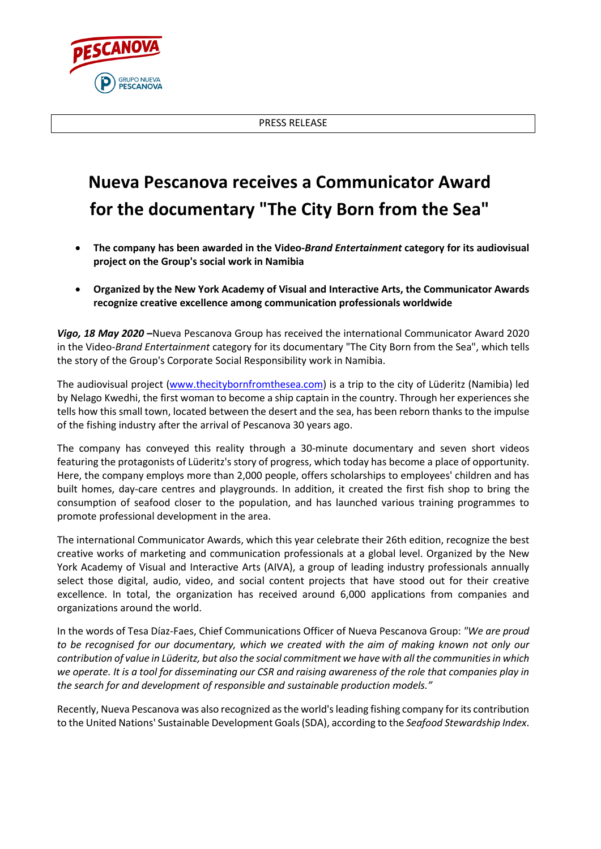PRESS RELEASE



*ESCANOVA* 

- **The company has been awarded in the Video-***Brand Entertainment* **category for its audiovisual project on the Group's social work in Namibia**
- **Organized by the New York Academy of Visual and Interactive Arts, the Communicator Awards recognize creative excellence among communication professionals worldwide**

*Vigo, 18 May 2020* **–**Nueva Pescanova Group has received the international Communicator Award 2020 in the Video-*Brand Entertainment* category for its documentary "The City Born from the Sea", which tells the story of the Group's Corporate Social Responsibility work in Namibia.

The audiovisual project [\(www.thecitybornfromthesea.com\)](http://www.thecitybornfromthesea.com/) is a trip to the city of Lüderitz (Namibia) led by Nelago Kwedhi, the first woman to become a ship captain in the country. Through her experiences she tells how this small town, located between the desert and the sea, has been reborn thanks to the impulse of the fishing industry after the arrival of Pescanova 30 years ago.

The company has conveyed this reality through a 30-minute documentary and seven short videos featuring the protagonists of Lüderitz's story of progress, which today has become a place of opportunity. Here, the company employs more than 2,000 people, offers scholarships to employees' children and has built homes, day-care centres and playgrounds. In addition, it created the first fish shop to bring the consumption of seafood closer to the population, and has launched various training programmes to promote professional development in the area.

The international Communicator Awards, which this year celebrate their 26th edition, recognize the best creative works of marketing and communication professionals at a global level. Organized by the New York Academy of Visual and Interactive Arts (AIVA), a group of leading industry professionals annually select those digital, audio, video, and social content projects that have stood out for their creative excellence. In total, the organization has received around 6,000 applications from companies and organizations around the world.

In the words of Tesa Díaz-Faes, Chief Communications Officer of Nueva Pescanova Group: *"We are proud to be recognised for our documentary, which we created with the aim of making known not only our contribution of value in Lüderitz, but also the social commitment we have with all the communities in which we operate. It is a tool for disseminating our CSR and raising awareness of the role that companies play in the search for and development of responsible and sustainable production models."*

Recently, Nueva Pescanova was also recognized as the world's leading fishing company for its contribution to the United Nations' Sustainable Development Goals (SDA), according to the *Seafood Stewardship Index*.